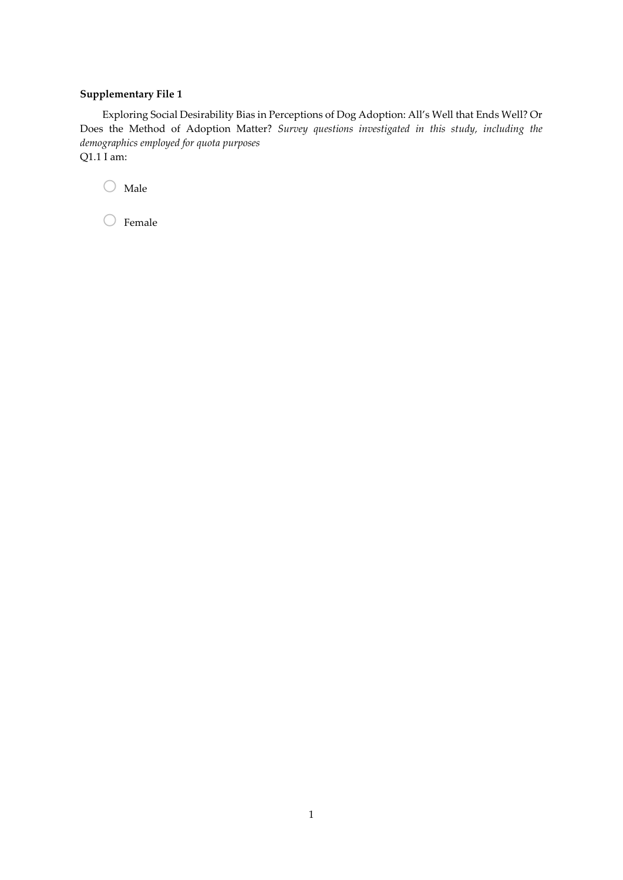## **Supplementary File 1**

Exploring Social Desirability Bias in Perceptions of Dog Adoption: All's Well that Ends Well? Or Does the Method of Adoption Matter? *Survey questions investigated in this study, including the demographics employed for quota purposes* Q1.1 I am:

 $\bigcirc$  Male

 $\bigcirc$  Female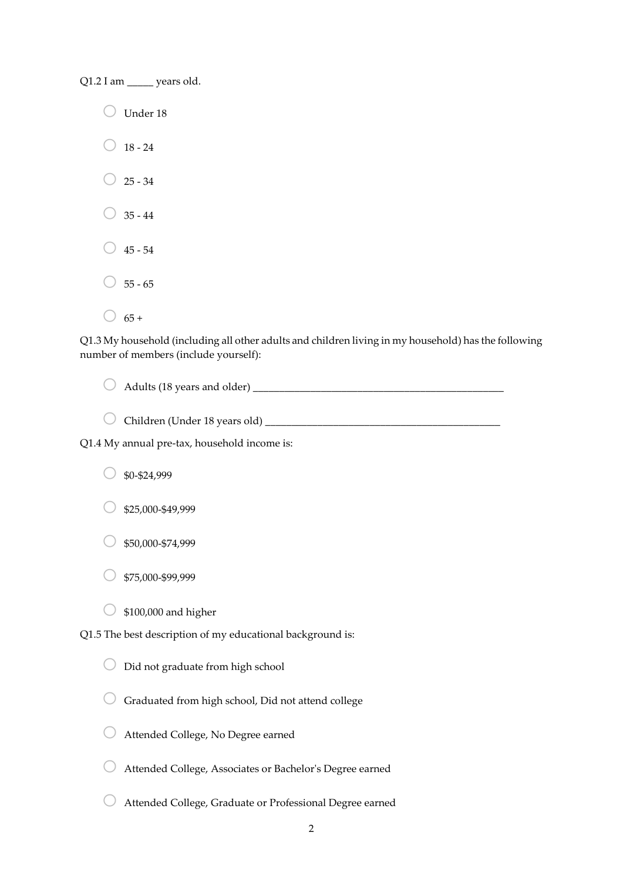Q1.2 I am \_\_\_\_\_ years old.

 $\bigcirc$  Under 18  $\bigcirc$  18 - 24  $\bigcirc$  25 - 34  $35 - 44$  $\bigcirc$  45 - 54  $55 - 65$  $\bigcirc$  65 +

Q1.3 My household (including all other adults and children living in my household) has the following number of members (include yourself):

o Adults (18 years and older) \_\_\_\_\_\_\_\_\_\_\_\_\_\_\_\_\_\_\_\_\_\_\_\_\_\_\_\_\_\_\_\_\_\_\_\_\_\_\_\_\_\_\_\_\_\_\_\_

o Children (Under 18 years old) \_\_\_\_\_\_\_\_\_\_\_\_\_\_\_\_\_\_\_\_\_\_\_\_\_\_\_\_\_\_\_\_\_\_\_\_\_\_\_\_\_\_\_\_\_

Q1.4 My annual pre-tax, household income is:

o \$0-\$24,999

 $$25,000-$49,999$ 

o \$50,000-\$74,999

o \$75,000-\$99,999

 $\circ$  \$100,000 and higher

Q1.5 The best description of my educational background is:

| $\bigcirc$ Did not graduate from high school |
|----------------------------------------------|

 $\bigcirc$  Graduated from high school, Did not attend college

o Attended College, No Degree earned

 $\bigcirc$  Attended College, Associates or Bachelor's Degree earned

o Attended College, Graduate or Professional Degree earned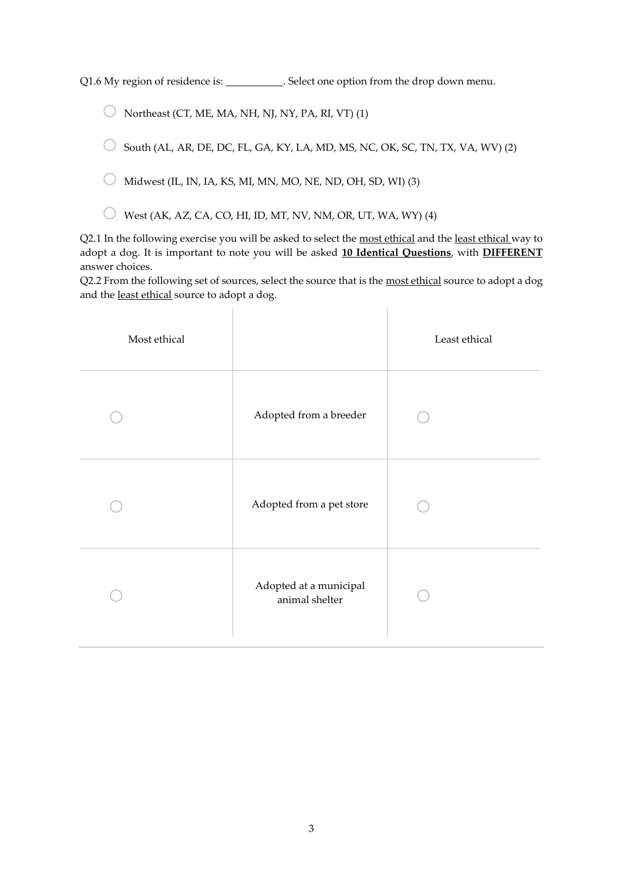Q1.6 My region of residence is: \_\_\_\_\_\_\_\_\_\_. Select one option from the drop down menu.

 $\bigcirc$  Northeast (CT, ME, MA, NH, NJ, NY, PA, RI, VT) (1)

 $\circ$  South (AL, AR, DE, DC, FL, GA, KY, LA, MD, MS, NC, OK, SC, TN, TX, VA, WV) (2)

 $\bigcirc$  Midwest (IL, IN, IA, KS, MI, MN, MO, NE, ND, OH, SD, WI) (3)

 $\bigcirc$  West (AK, AZ, CA, CO, HI, ID, MT, NV, NM, OR, UT, WA, WY) (4)

Q2.1 In the following exercise you will be asked to select the most ethical and the least ethical way to adopt a dog. It is important to note you will be asked **10 Identical Questions**, with **DIFFERENT** answer choices.

Q2.2 From the following set of sources, select the source that is the most ethical source to adopt a dog and the least ethical source to adopt a dog.

 $\begin{array}{c} \hline \end{array}$ 

| Most ethical |                                          | Least ethical |
|--------------|------------------------------------------|---------------|
|              | Adopted from a breeder                   |               |
|              | Adopted from a pet store                 |               |
|              | Adopted at a municipal<br>animal shelter |               |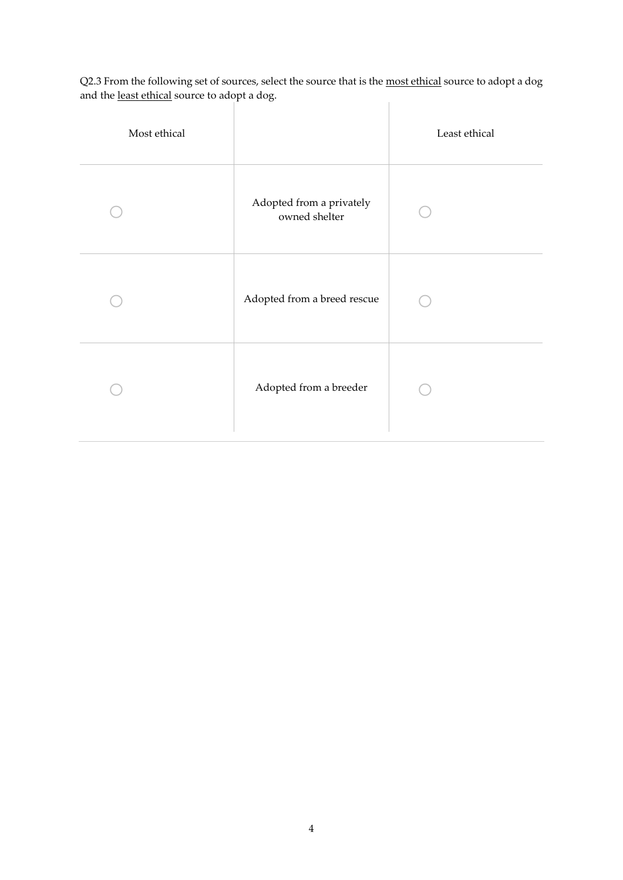Q2.3 From the following set of sources, select the source that is the <u>most ethical</u> source to adopt a dog and the <u>least ethical</u> source to adopt a dog.  $\overline{\phantom{a}}$ 

| Most ethical |                                           | Least ethical |
|--------------|-------------------------------------------|---------------|
|              | Adopted from a privately<br>owned shelter |               |
|              | Adopted from a breed rescue               |               |
|              | Adopted from a breeder                    |               |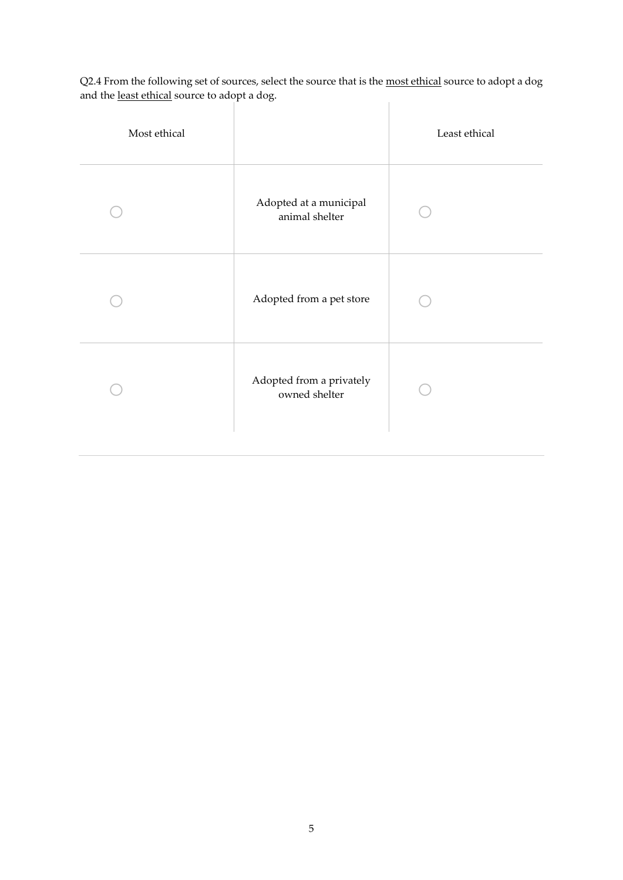Q2.4 From the following set of sources, select the source that is the <u>most ethical</u> source to adopt a dog and the <u>least ethical</u> source to adopt a dog.  $\begin{array}{c} \hline \end{array}$ 

| Most ethical |                                           | Least ethical |
|--------------|-------------------------------------------|---------------|
|              | Adopted at a municipal<br>animal shelter  |               |
|              | Adopted from a pet store                  |               |
|              | Adopted from a privately<br>owned shelter |               |
|              |                                           |               |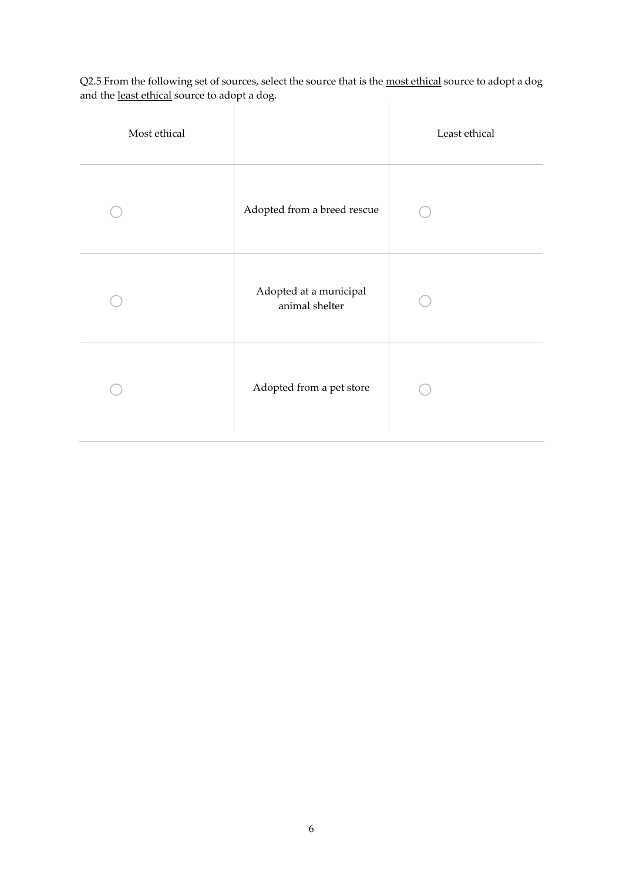Q2.5 From the following set of sources, select the source that is the <u>most ethical</u> source to adopt a dog and the <u>least ethical</u> source to adopt a dog.  $\mathbb{R}$ 

 $\mathcal{L}$ 

| Most ethical |                                          | Least ethical |
|--------------|------------------------------------------|---------------|
|              | Adopted from a breed rescue              |               |
|              | Adopted at a municipal<br>animal shelter |               |
|              | Adopted from a pet store                 |               |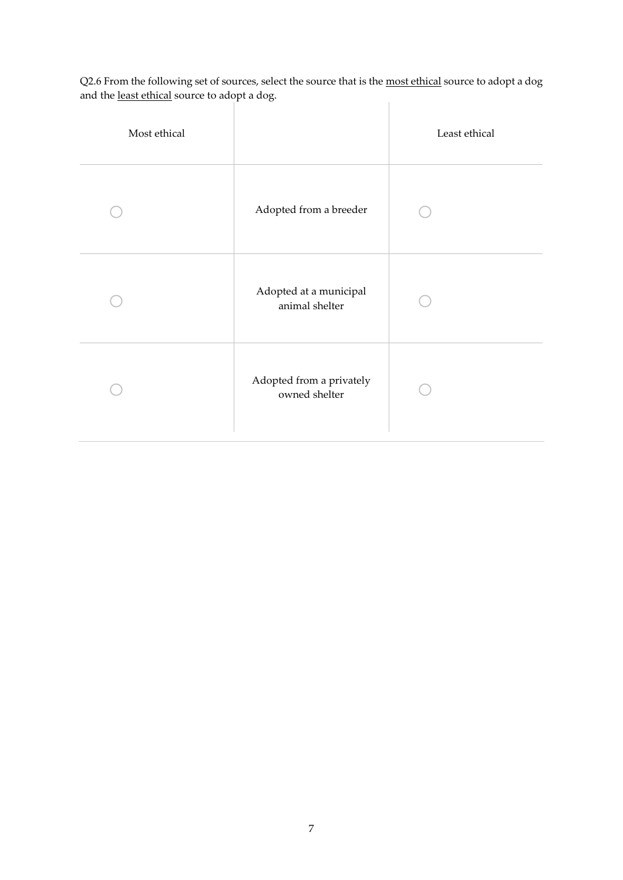Q2.6 From the following set of sources, select the source that is the <u>most ethical</u> source to adopt a dog and the <u>least ethical</u> source to adopt a dog.  $\mathbb{R}$ 

- 1

| Most ethical |                                           | Least ethical |
|--------------|-------------------------------------------|---------------|
|              | Adopted from a breeder                    |               |
|              | Adopted at a municipal<br>animal shelter  |               |
|              | Adopted from a privately<br>owned shelter |               |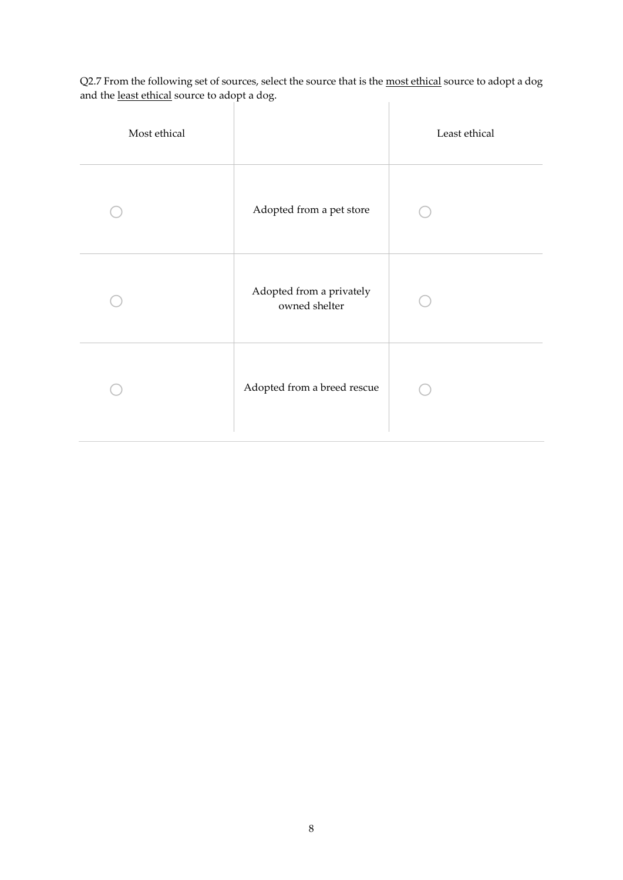Q2.7 From the following set of sources, select the source that is the <u>most ethical</u> source to adopt a dog and the <u>least ethical</u> source to adopt a dog.  $\overline{\phantom{a}}$ 

| Most ethical |                                           | Least ethical |
|--------------|-------------------------------------------|---------------|
|              | Adopted from a pet store                  |               |
|              | Adopted from a privately<br>owned shelter |               |
|              | Adopted from a breed rescue               |               |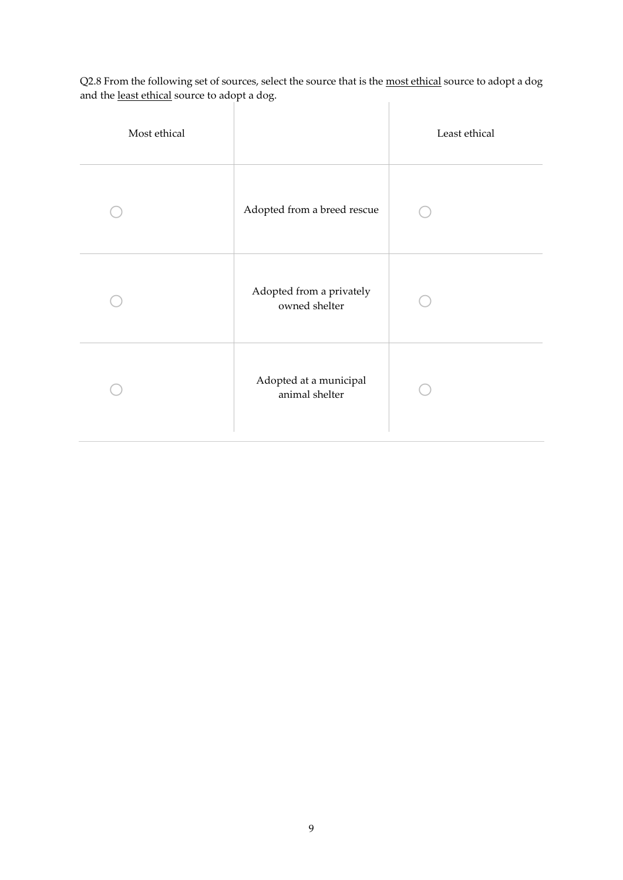Q2.8 From the following set of sources, select the source that is the <u>most ethical</u> source to adopt a dog and the <u>least ethical</u> source to adopt a dog.

| Most ethical | $\check{ }$                               | Least ethical |
|--------------|-------------------------------------------|---------------|
|              | Adopted from a breed rescue               |               |
|              | Adopted from a privately<br>owned shelter |               |
|              | Adopted at a municipal<br>animal shelter  |               |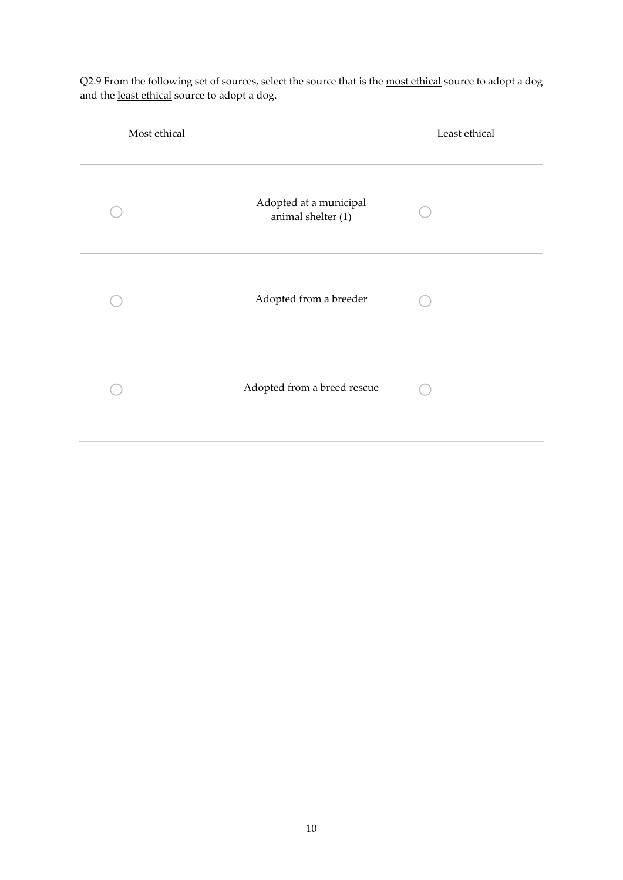Q2.9 From the following set of sources, select the source that is the <u>most ethical</u> source to adopt a dog and the <u>least ethical</u> source to adopt a dog.  $\mathbb{R}$ 

- 1

| Most ethical |                                              | Least ethical |
|--------------|----------------------------------------------|---------------|
|              | Adopted at a municipal<br>animal shelter (1) |               |
|              | Adopted from a breeder                       |               |
|              | Adopted from a breed rescue                  |               |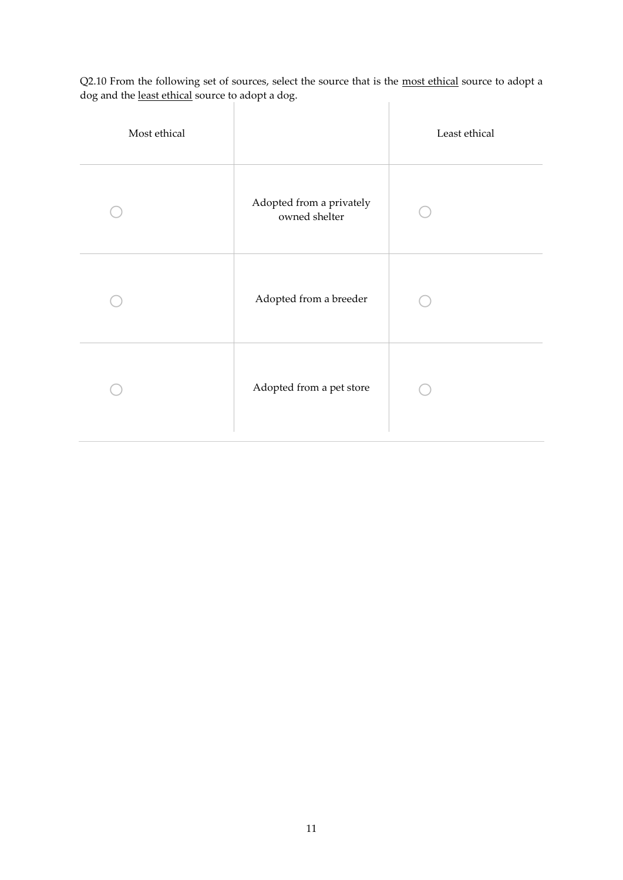Q2.10 From the following set of sources, select the source that is the <u>most ethical</u> source to adopt a dog and the <u>least ethical</u> source to adopt a dog.  $\begin{array}{c} \hline \end{array}$ 

| Most ethical |                                           | Least ethical |
|--------------|-------------------------------------------|---------------|
|              | Adopted from a privately<br>owned shelter |               |
|              | Adopted from a breeder                    |               |
|              | Adopted from a pet store                  |               |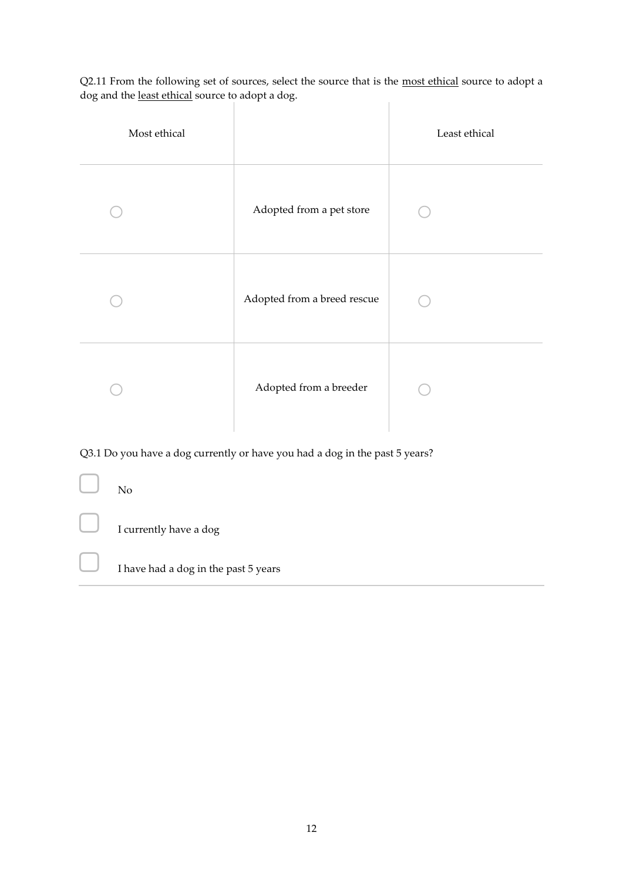Q2.11 From the following set of sources, select the source that is the most ethical source to adopt a dog and the least ethical source to adopt a dog.  $\begin{array}{c} \hline \end{array}$ 

- 11

| Most ethical |                             | Least ethical |
|--------------|-----------------------------|---------------|
|              | Adopted from a pet store    |               |
|              | Adopted from a breed rescue |               |
|              | Adopted from a breeder      |               |

Q3.1 Do you have a dog currently or have you had a dog in the past 5 years?

| U | N <sub>o</sub>                       |
|---|--------------------------------------|
|   | $\Box$ I currently have a dog        |
|   | I have had a dog in the past 5 years |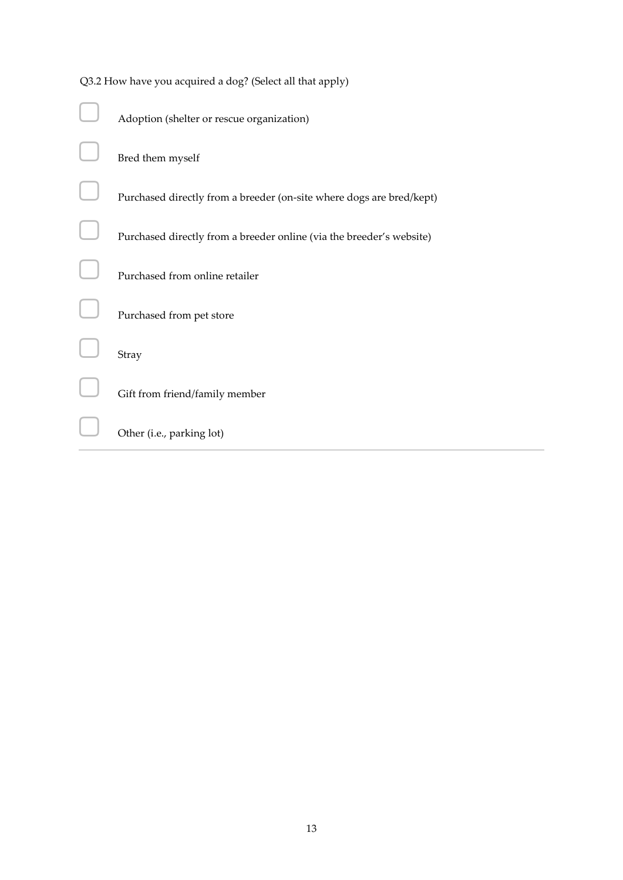| Q3.2 How have you acquired a dog? (Select all that apply)            |  |  |  |  |
|----------------------------------------------------------------------|--|--|--|--|
| Adoption (shelter or rescue organization)                            |  |  |  |  |
| Bred them myself                                                     |  |  |  |  |
| Purchased directly from a breeder (on-site where dogs are bred/kept) |  |  |  |  |
| Purchased directly from a breeder online (via the breeder's website) |  |  |  |  |
| Purchased from online retailer                                       |  |  |  |  |
| Purchased from pet store                                             |  |  |  |  |
| Stray                                                                |  |  |  |  |
| Gift from friend/family member                                       |  |  |  |  |
| Other (i.e., parking lot)                                            |  |  |  |  |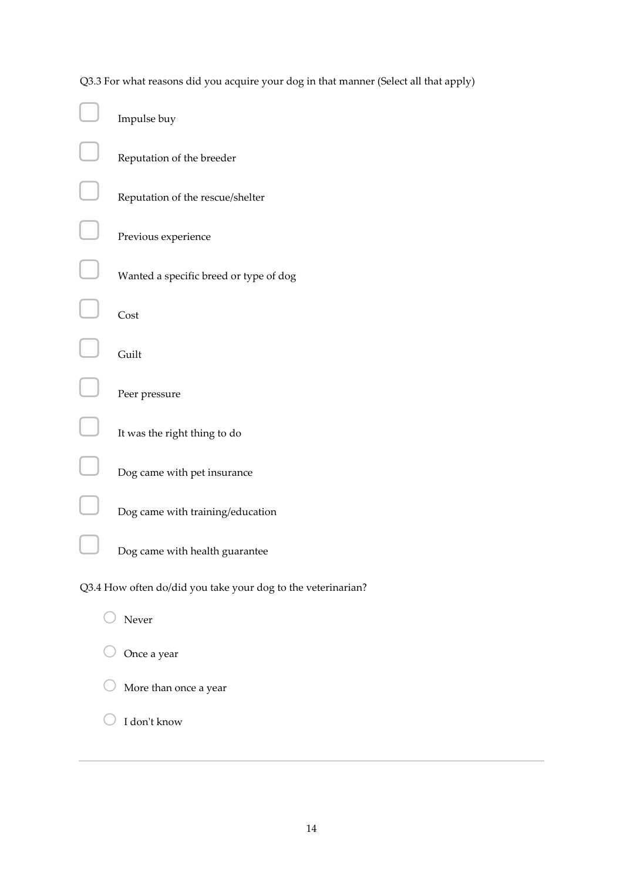Q3.3 For what reasons did you acquire your dog in that manner (Select all that apply)

| Impulse buy                                                  |
|--------------------------------------------------------------|
| Reputation of the breeder                                    |
| Reputation of the rescue/shelter                             |
| Previous experience                                          |
| Wanted a specific breed or type of dog                       |
| Cost                                                         |
| Guilt                                                        |
| Peer pressure                                                |
| It was the right thing to do                                 |
| Dog came with pet insurance                                  |
| Dog came with training/education                             |
| Dog came with health guarantee                               |
| Q3.4 How often do/did you take your dog to the veterinarian? |
| Never                                                        |
| Once a year                                                  |
| More than once a year                                        |
| I don't know                                                 |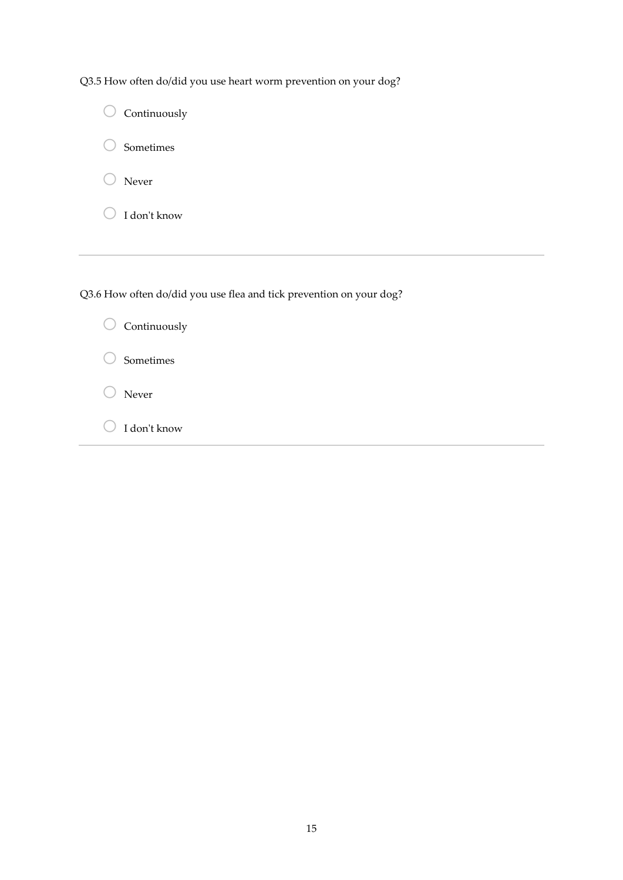|  | Q3.5 How often do/did you use heart worm prevention on your dog? |  |
|--|------------------------------------------------------------------|--|
|  |                                                                  |  |

| Continuously                                                        |
|---------------------------------------------------------------------|
| Sometimes                                                           |
| Never                                                               |
| I don't know                                                        |
|                                                                     |
|                                                                     |
| Q3.6 How often do/did you use flea and tick prevention on your dog? |
| Continuously                                                        |
| Sometimes                                                           |
| Never                                                               |
| I don't know                                                        |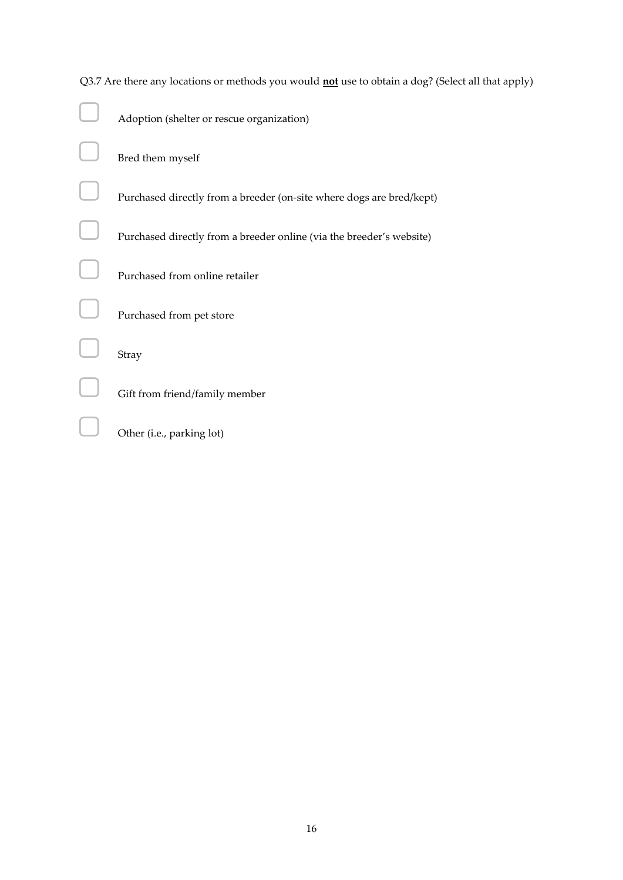| Q3.7 Are there any locations or methods you would <b>not</b> use to obtain a dog? (Select all that apply) |
|-----------------------------------------------------------------------------------------------------------|
| Adoption (shelter or rescue organization)                                                                 |
| Bred them myself                                                                                          |
| Purchased directly from a breeder (on-site where dogs are bred/kept)                                      |
| Purchased directly from a breeder online (via the breeder's website)                                      |
| Purchased from online retailer                                                                            |
| Purchased from pet store                                                                                  |
| Stray                                                                                                     |
| Gift from friend/family member                                                                            |
| Other (i.e., parking lot)                                                                                 |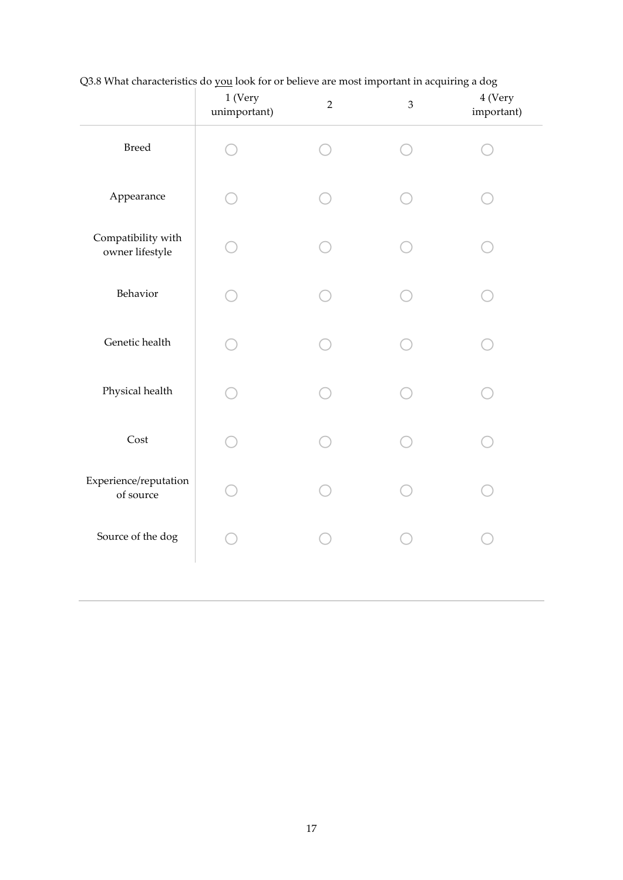|                                       | 1 (Very<br>unimportant) | $\overline{2}$ | $\mathfrak{Z}$ | 4 (Very<br>important) |
|---------------------------------------|-------------------------|----------------|----------------|-----------------------|
| <b>Breed</b>                          |                         |                |                |                       |
| Appearance                            |                         |                |                |                       |
| Compatibility with<br>owner lifestyle |                         |                |                |                       |
| Behavior                              |                         |                |                |                       |
| Genetic health                        |                         |                |                |                       |
| Physical health                       |                         |                |                |                       |
| Cost                                  |                         |                |                |                       |
| Experience/reputation<br>of source    |                         |                |                |                       |
| Source of the dog                     |                         |                |                |                       |
|                                       |                         |                |                |                       |

Q3.8 What characteristics do you look for or believe are most important in acquiring a dog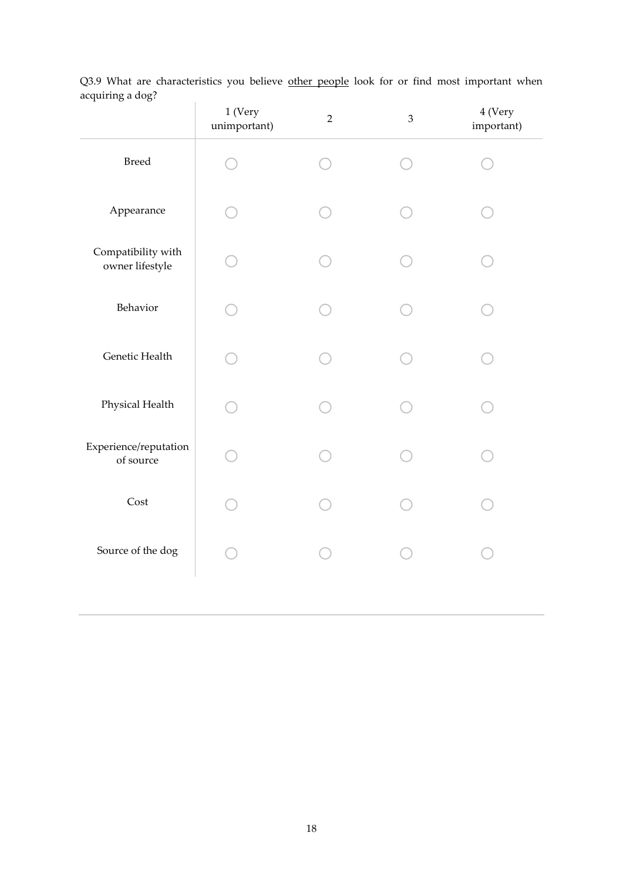|                                       | $1$ (Very<br>unimportant) | $\overline{2}$ | $\mathfrak{Z}$ | 4 (Very<br>important) |
|---------------------------------------|---------------------------|----------------|----------------|-----------------------|
| Breed                                 |                           |                |                |                       |
| Appearance                            |                           |                |                |                       |
| Compatibility with<br>owner lifestyle |                           |                |                |                       |
| Behavior                              |                           |                |                |                       |
| Genetic Health                        |                           |                |                |                       |
| Physical Health                       |                           |                |                |                       |
| Experience/reputation<br>of source    |                           |                |                |                       |
| Cost                                  |                           |                |                |                       |
| Source of the dog                     |                           |                |                |                       |
|                                       |                           |                |                |                       |

Q3.9 What are characteristics you believe other people look for or find most important when acquiring a dog?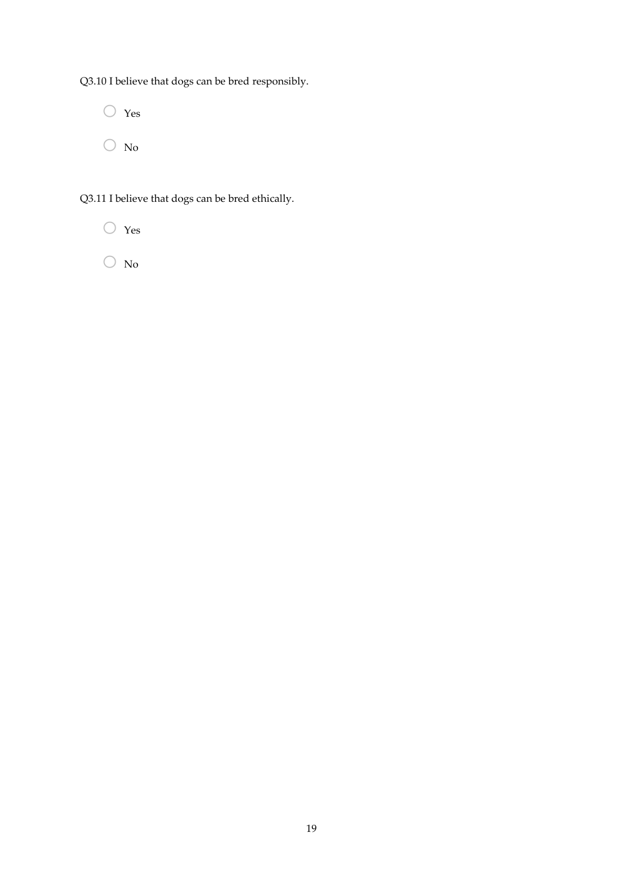Q3.10 I believe that dogs can be bred responsibly.

 $\bigcirc$  Yes  $\bigcirc$  No

Q3.11 I believe that dogs can be bred ethically.



 $\bigcirc$  No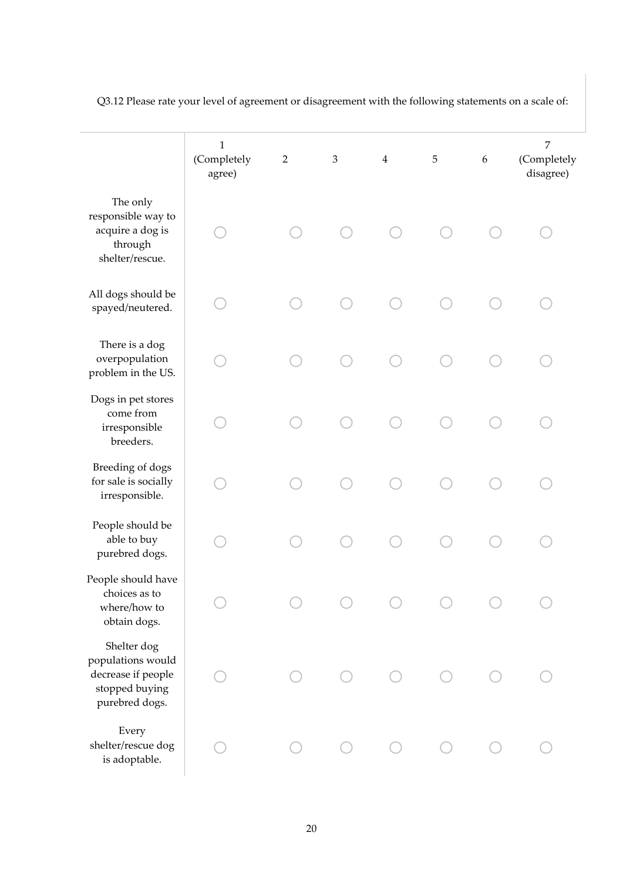|                                                                                            | $\mathbf{1}$<br>(Completely<br>agree) | $\overline{2}$ | $\mathfrak 3$ | $\overline{4}$ | $\mathbf 5$ | $\boldsymbol{6}$ | 7<br>(Completely<br>disagree) |
|--------------------------------------------------------------------------------------------|---------------------------------------|----------------|---------------|----------------|-------------|------------------|-------------------------------|
| The only<br>responsible way to<br>acquire a dog is<br>through<br>shelter/rescue.           |                                       |                |               |                |             |                  |                               |
| All dogs should be<br>spayed/neutered.                                                     |                                       |                |               |                |             |                  |                               |
| There is a dog<br>overpopulation<br>problem in the US.                                     |                                       |                |               |                |             |                  |                               |
| Dogs in pet stores<br>come from<br>irresponsible<br>breeders.                              |                                       |                |               |                |             |                  |                               |
| Breeding of dogs<br>for sale is socially<br>irresponsible.                                 |                                       |                |               |                |             |                  |                               |
| People should be<br>able to buy<br>purebred dogs.                                          |                                       |                |               |                |             |                  |                               |
| People should have<br>choices as to<br>where/how to<br>obtain dogs.                        |                                       |                |               |                |             |                  |                               |
| Shelter dog<br>populations would<br>decrease if people<br>stopped buying<br>purebred dogs. |                                       |                |               |                |             |                  |                               |
| Every<br>shelter/rescue dog<br>is adoptable.                                               |                                       |                |               |                |             |                  |                               |

Q3.12 Please rate your level of agreement or disagreement with the following statements on a scale of: